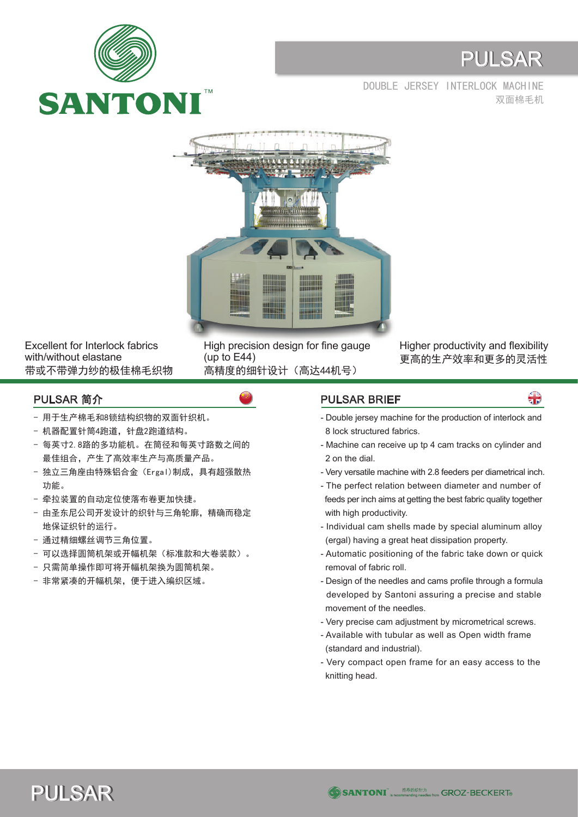

## PULSAR

双面棉毛机 DOUBLE JERSEY INTERLOCK MACHINE



Excellent for Interlock fabrics with/without elastane 带或不带弹力纱的极佳棉毛织物 High precision design for fine gauge (up to E44) 高精度的细针设计(高达44机号)

Higher productivity and flexibility 更高的生产效率和更多的灵活性

- 用于生产棉毛和8锁结构织物的双面针织机。
- 机器配置针筒4跑道,针盘2跑道结构。
- 每英寸2.8路的多功能机。在筒径和每英寸路数之间的 最佳组合,产生了高效率生产与高质量产品。
- 独立三角座由特殊铝合金(Ergal)制成,具有超强散热 功能。
- 牵拉装置的自动定位使落布卷更加快捷。
- 由圣东尼公司开发设计的织针与三角轮廓,精确而稳定 地保证织针的运行。
- 通过精细螺丝调节三角位置。
- 可以选择圆筒机架或开幅机架(标准款和大卷装款)。
- 只需简单操作即可将开幅机架换为圆筒机架。
- 非常紧凑的开幅机架,便于进入编织区域。

## PULSAR 简介 PULSAR BRIEF

å

- Double jersey machine for the production of interlock and 8 lock structured fabrics.
- Machine can receive up tp 4 cam tracks on cylinder and 2 on the dial.
- Very versatile machine with 2.8 feeders per diametrical inch.
- The perfect relation between diameter and number of feeds per inch aims at getting the best fabric quality together with high productivity.
- Individual cam shells made by special aluminum alloy (ergal) having a great heat dissipation property.
- Automatic positioning of the fabric take down or quick removal of fabric roll.
- Design of the needles and cams profile through a formula developed by Santoni assuring a precise and stable movement of the needles.
- Very precise cam adjustment by micrometrical screws.
- Available with tubular as well as Open width frame (standard and industrial).
- Very compact open frame for an easy access to the knitting head.